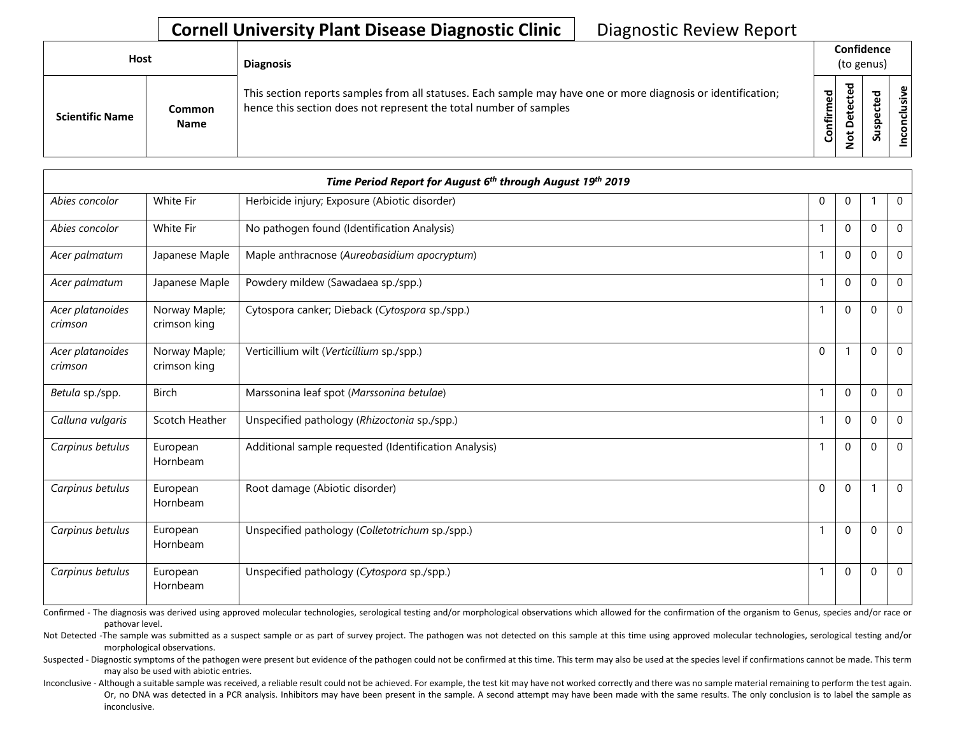| Host                   |                       | <b>Diagnosis</b>                                                                                                                                                                   |               | Confidence<br>(to genus) |   |              |  |  |  |  |
|------------------------|-----------------------|------------------------------------------------------------------------------------------------------------------------------------------------------------------------------------|---------------|--------------------------|---|--------------|--|--|--|--|
| <b>Scientific Name</b> | Common<br><b>Name</b> | This section reports samples from all statuses. Each sample may have one or more diagnosis or identification;<br>hence this section does not represent the total number of samples | ᇴ<br>Confirme | ਠ                        | S | clusive<br>έ |  |  |  |  |

|                             | Time Period Report for August 6th through August 19th 2019 |                                                       |          |              |          |                |  |  |  |
|-----------------------------|------------------------------------------------------------|-------------------------------------------------------|----------|--------------|----------|----------------|--|--|--|
| Abies concolor              | White Fir                                                  | Herbicide injury; Exposure (Abiotic disorder)         | $\Omega$ | $\mathbf 0$  |          | $\overline{0}$ |  |  |  |
| Abies concolor              | White Fir                                                  | No pathogen found (Identification Analysis)           |          | $\mathbf 0$  | $\Omega$ | $\mathbf 0$    |  |  |  |
| Acer palmatum               | Japanese Maple                                             | Maple anthracnose (Aureobasidium apocryptum)          |          | $\mathbf 0$  | $\Omega$ | $\mathbf{0}$   |  |  |  |
| Acer palmatum               | Japanese Maple                                             | Powdery mildew (Sawadaea sp./spp.)                    |          | $\Omega$     | $\Omega$ | $\mathbf 0$    |  |  |  |
| Acer platanoides<br>crimson | Norway Maple;<br>crimson king                              | Cytospora canker; Dieback (Cytospora sp./spp.)        |          | $\mathbf 0$  | $\Omega$ | $\mathbf 0$    |  |  |  |
| Acer platanoides<br>crimson | Norway Maple;<br>crimson king                              | Verticillium wilt (Verticillium sp./spp.)             | $\Omega$ |              | $\Omega$ | $\mathbf 0$    |  |  |  |
| Betula sp./spp.             | <b>Birch</b>                                               | Marssonina leaf spot (Marssonina betulae)             | -1       | $\Omega$     | $\Omega$ | $\Omega$       |  |  |  |
| Calluna vulgaris            | Scotch Heather                                             | Unspecified pathology (Rhizoctonia sp./spp.)          |          | $\mathbf 0$  | $\Omega$ | $\mathbf 0$    |  |  |  |
| Carpinus betulus            | European<br>Hornbeam                                       | Additional sample requested (Identification Analysis) |          | $\mathbf{0}$ | $\Omega$ | $\mathbf 0$    |  |  |  |
| Carpinus betulus            | European<br>Hornbeam                                       | Root damage (Abiotic disorder)                        | $\Omega$ | $\mathbf 0$  |          | $\mathbf 0$    |  |  |  |
| Carpinus betulus            | European<br>Hornbeam                                       | Unspecified pathology (Colletotrichum sp./spp.)       |          | $\Omega$     | $\Omega$ | $\Omega$       |  |  |  |
| Carpinus betulus            | European<br>Hornbeam                                       | Unspecified pathology (Cytospora sp./spp.)            |          | $\mathbf 0$  | $\Omega$ | $\overline{0}$ |  |  |  |

Confirmed - The diagnosis was derived using approved molecular technologies, serological testing and/or morphological observations which allowed for the confirmation of the organism to Genus, species and/or race or pathovar level.

Not Detected -The sample was submitted as a suspect sample or as part of survey project. The pathogen was not detected on this sample at this time using approved molecular technologies, serological testing and/or morphological observations.

Suspected - Diagnostic symptoms of the pathogen were present but evidence of the pathogen could not be confirmed at this time. This term may also be used at the species level if confirmations cannot be made. This term may also be used with abiotic entries.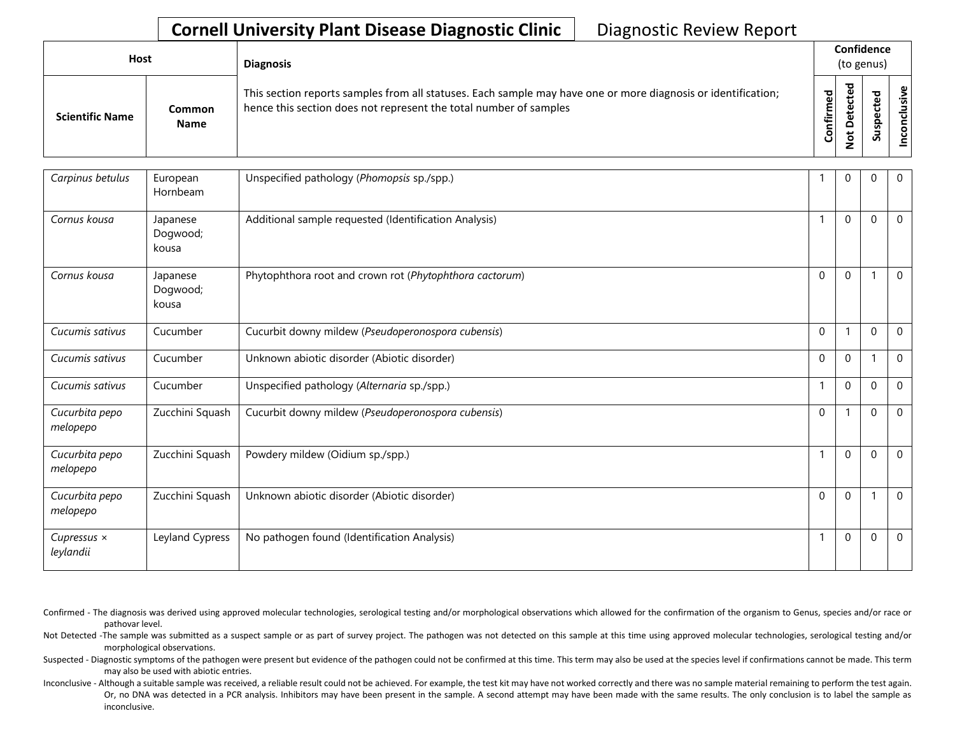| Host                   |                              | <b>Diagnosis</b>                                                                                                                                                                   |           | Confidence<br>(to genus) |                            |      |  |  |  |  |
|------------------------|------------------------------|------------------------------------------------------------------------------------------------------------------------------------------------------------------------------------|-----------|--------------------------|----------------------------|------|--|--|--|--|
| <b>Scientific Name</b> | <b>Common</b><br><b>Name</b> | This section reports samples from all statuses. Each sample may have one or more diagnosis or identification;<br>hence this section does not represent the total number of samples | Confirmed | ᅙ<br>$\Omega$<br>سه      | ъ<br>ீ<br>ω<br>௨<br>š<br>S | sive |  |  |  |  |

| Carpinus betulus                | European<br>Hornbeam          | Unspecified pathology (Phomopsis sp./spp.)              |              | $\mathbf{0}$ | $\Omega$ | $\overline{0}$ |
|---------------------------------|-------------------------------|---------------------------------------------------------|--------------|--------------|----------|----------------|
| Cornus kousa                    | Japanese<br>Dogwood;<br>kousa | Additional sample requested (Identification Analysis)   |              | $\Omega$     | $\Omega$ | $\mathbf 0$    |
| Cornus kousa                    | Japanese<br>Dogwood;<br>kousa | Phytophthora root and crown rot (Phytophthora cactorum) | $\Omega$     | $\Omega$     |          | $\mathbf 0$    |
| Cucumis sativus                 | Cucumber                      | Cucurbit downy mildew (Pseudoperonospora cubensis)      | $\mathbf 0$  |              | $\Omega$ | $\mathbf 0$    |
| Cucumis sativus                 | Cucumber                      | Unknown abiotic disorder (Abiotic disorder)             | $\mathbf{0}$ | $\mathbf 0$  |          | $\mathbf 0$    |
| Cucumis sativus                 | Cucumber                      | Unspecified pathology (Alternaria sp./spp.)             |              | $\mathbf 0$  | $\Omega$ | $\mathbf 0$    |
| Cucurbita pepo<br>melopepo      | Zucchini Squash               | Cucurbit downy mildew (Pseudoperonospora cubensis)      | $\Omega$     |              | $\Omega$ | $\mathbf 0$    |
| Cucurbita pepo<br>melopepo      | Zucchini Squash               | Powdery mildew (Oidium sp./spp.)                        |              | $\mathbf{0}$ | $\Omega$ | $\overline{0}$ |
| Cucurbita pepo<br>melopepo      | Zucchini Squash               | Unknown abiotic disorder (Abiotic disorder)             | $\Omega$     | $\Omega$     |          | $\mathbf 0$    |
| Cupressus $\times$<br>leylandii | Leyland Cypress               | No pathogen found (Identification Analysis)             |              | $\Omega$     | $\Omega$ | $\mathbf 0$    |

Confirmed - The diagnosis was derived using approved molecular technologies, serological testing and/or morphological observations which allowed for the confirmation of the organism to Genus, species and/or race or pathovar level.

Not Detected -The sample was submitted as a suspect sample or as part of survey project. The pathogen was not detected on this sample at this time using approved molecular technologies, serological testing and/or morphological observations.

Suspected - Diagnostic symptoms of the pathogen were present but evidence of the pathogen could not be confirmed at this time. This term may also be used at the species level if confirmations cannot be made. This term may also be used with abiotic entries.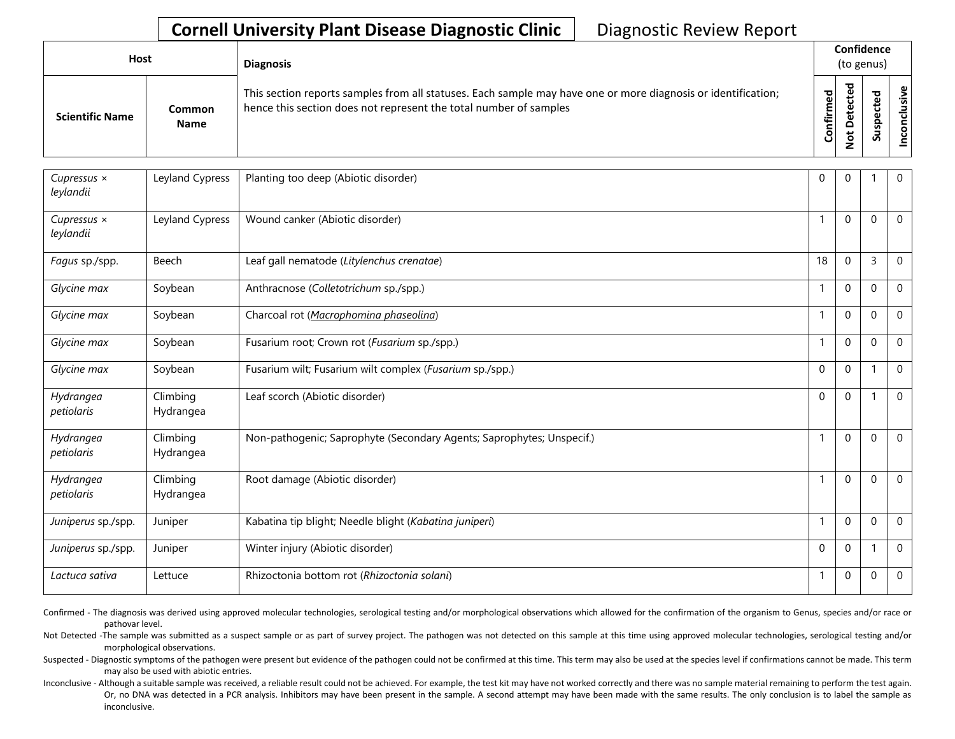| <b>Host</b>            |                       | <b>Diagnosis</b>                                                                                                                                                                   |               | Confidence<br>(to genus) |   |                |  |  |  |
|------------------------|-----------------------|------------------------------------------------------------------------------------------------------------------------------------------------------------------------------------|---------------|--------------------------|---|----------------|--|--|--|
| <b>Scientific Name</b> | Common<br><b>Name</b> | This section reports samples from all statuses. Each sample may have one or more diagnosis or identification;<br>hence this section does not represent the total number of samples | ᇃ<br>Confirme | ᇃ                        | S | clusive<br>con |  |  |  |

| Cupressus $\times$<br>leylandii | Leyland Cypress       | Planting too deep (Abiotic disorder)                                  | $\Omega$ | $\mathbf 0$      |              | $\mathbf 0$  |
|---------------------------------|-----------------------|-----------------------------------------------------------------------|----------|------------------|--------------|--------------|
| Cupressus $\times$<br>leylandii | Leyland Cypress       | Wound canker (Abiotic disorder)                                       |          | $\Omega$         | $\mathbf{0}$ | $\Omega$     |
| Fagus sp./spp.                  | Beech                 | Leaf gall nematode (Litylenchus crenatae)                             | 18       | $\mathbf 0$      | 3            | $\mathbf 0$  |
| Glycine max                     | Soybean               | Anthracnose (Colletotrichum sp./spp.)                                 |          | $\mathbf 0$      | $\Omega$     | $\mathbf 0$  |
| Glycine max                     | Soybean               | Charcoal rot (Macrophomina phaseolina)                                |          | $\mathbf 0$      | $\mathbf{0}$ | $\mathbf 0$  |
| Glycine max                     | Soybean               | Fusarium root; Crown rot (Fusarium sp./spp.)                          |          | $\mathbf 0$      | $\mathbf 0$  | $\mathbf 0$  |
| Glycine max                     | Soybean               | Fusarium wilt; Fusarium wilt complex (Fusarium sp./spp.)              | $\Omega$ | $\mathbf 0$      |              | $\mathbf 0$  |
| Hydrangea<br>petiolaris         | Climbing<br>Hydrangea | Leaf scorch (Abiotic disorder)                                        | $\Omega$ | $\mathbf 0$      |              | $\mathbf 0$  |
| Hydrangea<br>petiolaris         | Climbing<br>Hydrangea | Non-pathogenic; Saprophyte (Secondary Agents; Saprophytes; Unspecif.) |          | $\boldsymbol{0}$ | $\Omega$     | $\mathbf 0$  |
| Hydrangea<br>petiolaris         | Climbing<br>Hydrangea | Root damage (Abiotic disorder)                                        |          | $\mathbf 0$      | $\mathbf 0$  | $\mathbf 0$  |
| Juniperus sp./spp.              | Juniper               | Kabatina tip blight; Needle blight (Kabatina juniperi)                |          | $\boldsymbol{0}$ | $\mathbf{0}$ | $\Omega$     |
| Juniperus sp./spp.              | Juniper               | Winter injury (Abiotic disorder)                                      | $\Omega$ | $\boldsymbol{0}$ | 1            | $\mathbf{0}$ |
| Lactuca sativa                  | Lettuce               | Rhizoctonia bottom rot (Rhizoctonia solani)                           |          | $\mathbf 0$      | $\Omega$     | $\mathbf 0$  |

Confirmed - The diagnosis was derived using approved molecular technologies, serological testing and/or morphological observations which allowed for the confirmation of the organism to Genus, species and/or race or pathovar level.

Not Detected -The sample was submitted as a suspect sample or as part of survey project. The pathogen was not detected on this sample at this time using approved molecular technologies, serological testing and/or morphological observations.

Suspected - Diagnostic symptoms of the pathogen were present but evidence of the pathogen could not be confirmed at this time. This term may also be used at the species level if confirmations cannot be made. This term may also be used with abiotic entries.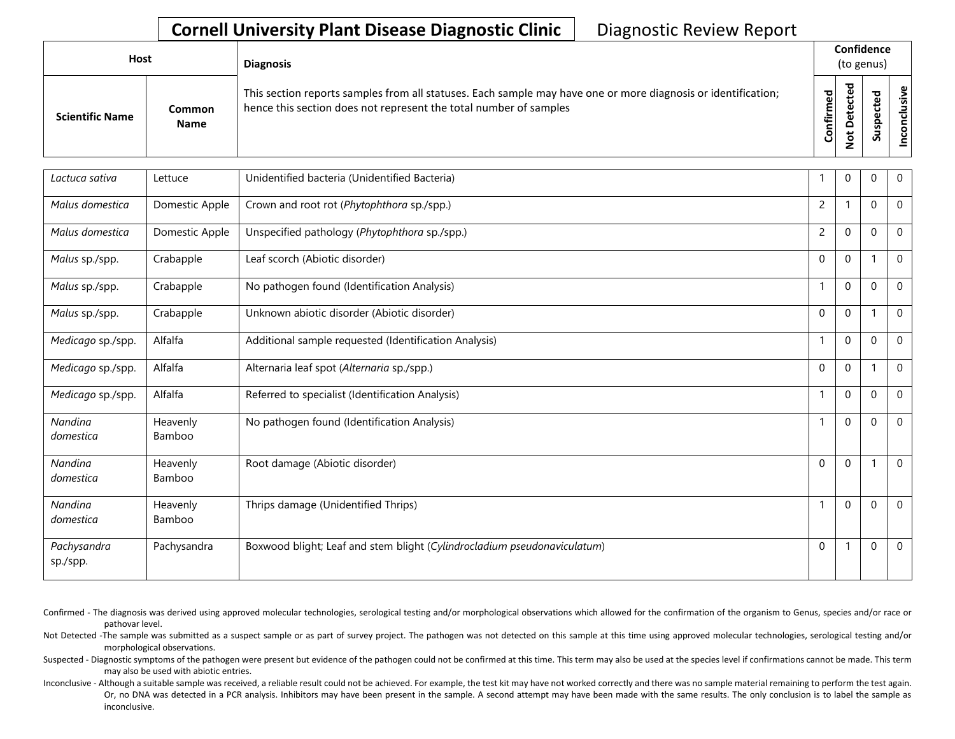| Host |                        |                       | <b>Diagnosis</b>                                                                                                                                                                   |           | Confidence<br>(to genus) |                                  |                                      |  |  |  |  |
|------|------------------------|-----------------------|------------------------------------------------------------------------------------------------------------------------------------------------------------------------------------|-----------|--------------------------|----------------------------------|--------------------------------------|--|--|--|--|
|      | <b>Scientific Name</b> | Common<br><b>Name</b> | This section reports samples from all statuses. Each sample may have one or more diagnosis or identification;<br>hence this section does not represent the total number of samples | Confirmed | ਠ<br>Φ<br>$\Omega$<br>پ  | 73<br>ω<br>ω<br>௨<br>s<br>з<br>S | $\boldsymbol{\mathsf{g}}$<br>'ল<br>ပ |  |  |  |  |

| Lactuca sativa          | Lettuce            | Unidentified bacteria (Unidentified Bacteria)                            |                | $\Omega$     | $\Omega$    | $\mathbf 0$  |
|-------------------------|--------------------|--------------------------------------------------------------------------|----------------|--------------|-------------|--------------|
| Malus domestica         | Domestic Apple     | Crown and root rot (Phytophthora sp./spp.)                               | $\overline{c}$ |              | $\Omega$    | $\Omega$     |
| Malus domestica         | Domestic Apple     | Unspecified pathology (Phytophthora sp./spp.)                            | $\overline{2}$ | $\Omega$     | $\Omega$    | $\mathbf{0}$ |
| Malus sp./spp.          | Crabapple          | Leaf scorch (Abiotic disorder)                                           | $\mathbf 0$    | $\Omega$     |             | $\Omega$     |
| Malus sp./spp.          | Crabapple          | No pathogen found (Identification Analysis)                              | $\mathbf{1}$   | $\Omega$     | $\Omega$    | $\mathbf{0}$ |
| Malus sp./spp.          | Crabapple          | Unknown abiotic disorder (Abiotic disorder)                              | $\mathbf{0}$   | $\Omega$     |             | $\Omega$     |
| Medicago sp./spp.       | Alfalfa            | Additional sample requested (Identification Analysis)                    | 1              | $\Omega$     | $\Omega$    | $\mathbf{0}$ |
| Medicago sp./spp.       | Alfalfa            | Alternaria leaf spot (Alternaria sp./spp.)                               | $\mathbf 0$    | $\mathbf{0}$ |             | $\mathbf{0}$ |
| Medicago sp./spp.       | Alfalfa            | Referred to specialist (Identification Analysis)                         |                | $\Omega$     | $\Omega$    | $\mathbf 0$  |
| Nandina<br>domestica    | Heavenly<br>Bamboo | No pathogen found (Identification Analysis)                              |                | $\mathbf 0$  | $\mathbf 0$ | $\mathbf 0$  |
| Nandina<br>domestica    | Heavenly<br>Bamboo | Root damage (Abiotic disorder)                                           | $\mathbf 0$    | $\Omega$     |             | $\mathbf{0}$ |
| Nandina<br>domestica    | Heavenly<br>Bamboo | Thrips damage (Unidentified Thrips)                                      |                | $\Omega$     | $\mathbf 0$ | $\mathbf{0}$ |
| Pachysandra<br>sp./spp. | Pachysandra        | Boxwood blight; Leaf and stem blight (Cylindrocladium pseudonaviculatum) | $\mathbf 0$    |              | $\mathbf 0$ | $\mathbf 0$  |

Confirmed - The diagnosis was derived using approved molecular technologies, serological testing and/or morphological observations which allowed for the confirmation of the organism to Genus, species and/or race or pathovar level.

Not Detected -The sample was submitted as a suspect sample or as part of survey project. The pathogen was not detected on this sample at this time using approved molecular technologies, serological testing and/or morphological observations.

Suspected - Diagnostic symptoms of the pathogen were present but evidence of the pathogen could not be confirmed at this time. This term may also be used at the species level if confirmations cannot be made. This term may also be used with abiotic entries.